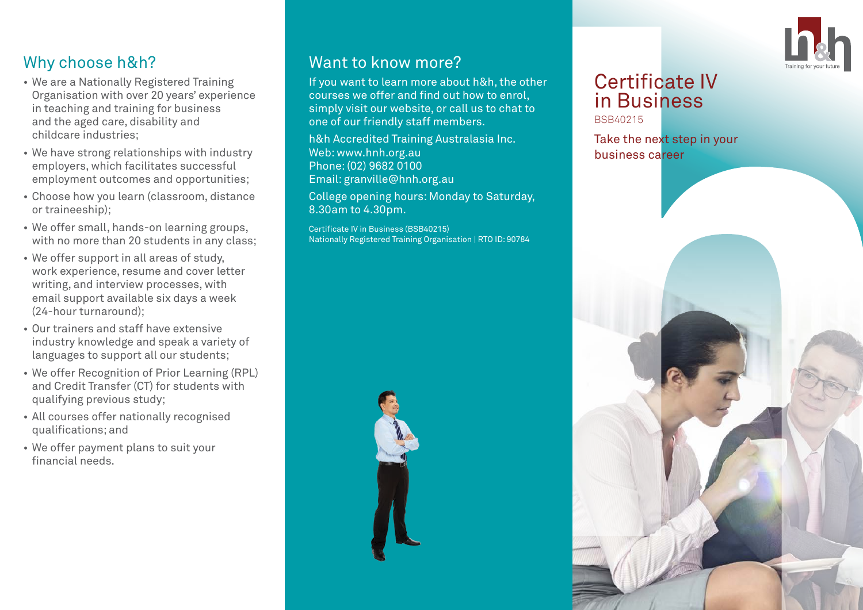

# Why choose h&h?

- We are a Nationally Registered Training Organisation with over 20 years' experience in teaching and training for business and the aged care, disability and childcare industries;
- We have strong relationships with industry employers, which facilitates successful employment outcomes and opportunities;
- Choose how you learn (classroom, distance or traineeship);
- We offer small, hands-on learning groups, with no more than 20 students in any class:
- We offer support in all areas of study, work experience, resume and cover letter writing, and interview processes, with email support available six days a week (24-hour turnaround);
- Our trainers and staff have extensive industry knowledge and speak a variety of languages to support all our students;
- We offer Recognition of Prior Learning (RPL) and Credit Transfer (CT) for students with qualifying previous study;
- All courses offer nationally recognised qualifications; and
- We offer payment plans to suit your financial needs.

## Want to know more?

If you want to learn more about h&h, the other courses we offer and find out how to enrol, simply visit our website, or call us to chat to one of our friendly staff members.

h&h Accredited Training Australasia Inc. Web: www.hnh.org.au Phone: (02) 9682 0100 Email: granville@hnh.org.au

College opening hours: Monday to Saturday, 8.30am to 4.30pm.

Certificate IV in Business (BSB40215) Nationally Registered Training Organisation | RTO ID: 90784



#### Certificate IV in Business BSB40215

Take the next step in your business career